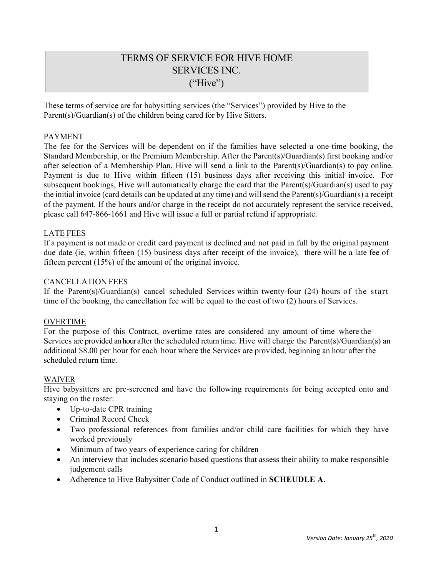# TERMS OF SERVICE FOR HIVE HOME SERVICES INC. ("Hive")

These terms of service are for babysitting services (the "Services") provided by Hive to the Parent(s)/Guardian(s) of the children being cared for by Hive Sitters.

#### PAYMENT

The fee for the Services will be dependent on if the families have selected a one-time booking, the Standard Membership, or the Premium Membership. After the Parent(s)/Guardian(s) first booking and/or after selection of a Membership Plan, Hive will send a link to the Parent(s)/Guardian(s) to pay online. Payment is due to Hive within fifteen (15) business days after receiving this initial invoice. For subsequent bookings, Hive will automatically charge the card that the Parent(s)/Guardian(s) used to pay the initial invoice (card details can be updated at any time) and will send the Parent(s)/Guardian(s) a receipt of the payment. If the hours and/or charge in the receipt do not accurately represent the service received, please call 647-866-1661 and Hive will issue a full or partial refund if appropriate.

#### LATE FEES

If a payment is not made or credit card payment is declined and not paid in full by the original payment due date (ie, within fifteen (15) business days after receipt of the invoice), there will be a late fee of fifteen percent (15%) of the amount of the original invoice.

#### CANCELLATION FEES

If the Parent(s)/Guardian(s) cancel scheduled Services within twenty-four (24) hours of the start time of the booking, the cancellation fee will be equal to the cost of two (2) hours of Services.

#### OVERTIME

For the purpose of this Contract, overtime rates are considered any amount of time where the Services are provided an hour after the scheduled returntime. Hive will charge the Parent(s)/Guardian(s) an additional \$8.00 per hour for each hour where the Services are provided, beginning an hour after the scheduled return time.

#### WAIVER

Hive babysitters are pre-screened and have the following requirements for being accepted onto and staying on the roster:

- Up-to-date CPR training
- Criminal Record Check
- Two professional references from families and/or child care facilities for which they have worked previously
- Minimum of two years of experience caring for children
- An interview that includes scenario based questions that assess their ability to make responsible judgement calls
- Adherence to Hive Babysitter Code of Conduct outlined in **SCHEUDLE A.**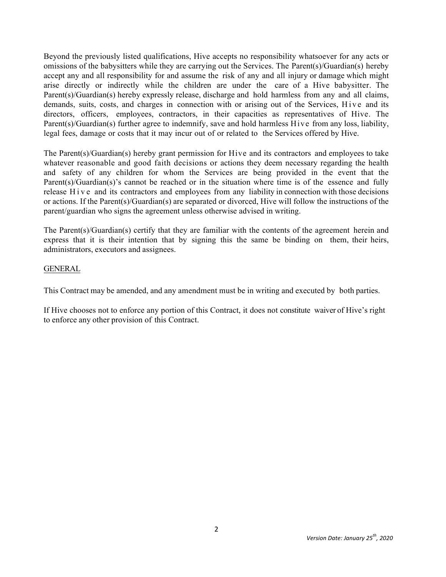Beyond the previously listed qualifications, Hive accepts no responsibility whatsoever for any acts or omissions of the babysitters while they are carrying out the Services. The Parent(s)/Guardian(s) hereby accept any and all responsibility for and assume the risk of any and all injury or damage which might arise directly or indirectly while the children are under the care of a Hive babysitter. The Parent(s)/Guardian(s) hereby expressly release, discharge and hold harmless from any and all claims, demands, suits, costs, and charges in connection with or arising out of the Services, Hive and its directors, officers, employees, contractors, in their capacities as representatives of Hive. The Parent(s)/Guardian(s) further agree to indemnify, save and hold harmless Hive from any loss, liability, legal fees, damage or costs that it may incur out of or related to the Services offered by Hive.

The Parent(s)/Guardian(s) hereby grant permission for Hive and its contractors and employees to take whatever reasonable and good faith decisions or actions they deem necessary regarding the health and safety of any children for whom the Services are being provided in the event that the Parent(s)/Guardian(s)'s cannot be reached or in the situation where time is of the essence and fully release Hive and its contractors and employees from any liability in connection with those decisions or actions. If the Parent(s)/Guardian(s) are separated or divorced, Hive will follow the instructions of the parent/guardian who signs the agreement unless otherwise advised in writing.

The Parent(s)/Guardian(s) certify that they are familiar with the contents of the agreement herein and express that it is their intention that by signing this the same be binding on them, their heirs, administrators, executors and assignees.

#### GENERAL

This Contract may be amended, and any amendment must be in writing and executed by both parties.

If Hive chooses not to enforce any portion of this Contract, it does not constitute waiver of Hive's right to enforce any other provision of this Contract.